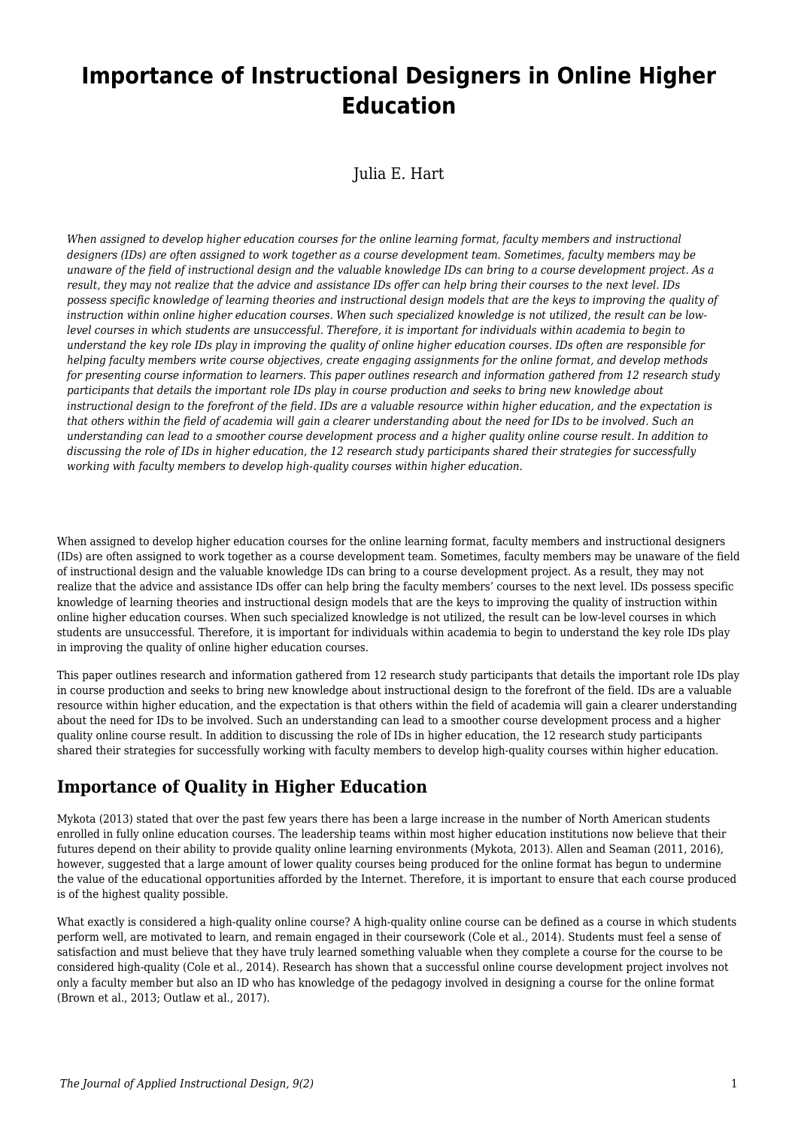# **Importance of Instructional Designers in Online Higher Education**

Julia E. Hart

*When assigned to develop higher education courses for the online learning format, faculty members and instructional designers (IDs) are often assigned to work together as a course development team. Sometimes, faculty members may be unaware of the field of instructional design and the valuable knowledge IDs can bring to a course development project. As a result, they may not realize that the advice and assistance IDs offer can help bring their courses to the next level. IDs possess specific knowledge of learning theories and instructional design models that are the keys to improving the quality of instruction within online higher education courses. When such specialized knowledge is not utilized, the result can be lowlevel courses in which students are unsuccessful. Therefore, it is important for individuals within academia to begin to understand the key role IDs play in improving the quality of online higher education courses. IDs often are responsible for helping faculty members write course objectives, create engaging assignments for the online format, and develop methods for presenting course information to learners. This paper outlines research and information gathered from 12 research study participants that details the important role IDs play in course production and seeks to bring new knowledge about instructional design to the forefront of the field. IDs are a valuable resource within higher education, and the expectation is that others within the field of academia will gain a clearer understanding about the need for IDs to be involved. Such an understanding can lead to a smoother course development process and a higher quality online course result. In addition to discussing the role of IDs in higher education, the 12 research study participants shared their strategies for successfully working with faculty members to develop high-quality courses within higher education.*

When assigned to develop higher education courses for the online learning format, faculty members and instructional designers (IDs) are often assigned to work together as a course development team. Sometimes, faculty members may be unaware of the field of instructional design and the valuable knowledge IDs can bring to a course development project. As a result, they may not realize that the advice and assistance IDs offer can help bring the faculty members' courses to the next level. IDs possess specific knowledge of learning theories and instructional design models that are the keys to improving the quality of instruction within online higher education courses. When such specialized knowledge is not utilized, the result can be low-level courses in which students are unsuccessful. Therefore, it is important for individuals within academia to begin to understand the key role IDs play in improving the quality of online higher education courses.

This paper outlines research and information gathered from 12 research study participants that details the important role IDs play in course production and seeks to bring new knowledge about instructional design to the forefront of the field. IDs are a valuable resource within higher education, and the expectation is that others within the field of academia will gain a clearer understanding about the need for IDs to be involved. Such an understanding can lead to a smoother course development process and a higher quality online course result. In addition to discussing the role of IDs in higher education, the 12 research study participants shared their strategies for successfully working with faculty members to develop high-quality courses within higher education.

## **Importance of Quality in Higher Education**

Mykota (2013) stated that over the past few years there has been a large increase in the number of North American students enrolled in fully online education courses. The leadership teams within most higher education institutions now believe that their futures depend on their ability to provide quality online learning environments (Mykota, 2013). Allen and Seaman (2011, 2016), however, suggested that a large amount of lower quality courses being produced for the online format has begun to undermine the value of the educational opportunities afforded by the Internet. Therefore, it is important to ensure that each course produced is of the highest quality possible.

What exactly is considered a high-quality online course? A high-quality online course can be defined as a course in which students perform well, are motivated to learn, and remain engaged in their coursework (Cole et al., 2014). Students must feel a sense of satisfaction and must believe that they have truly learned something valuable when they complete a course for the course to be considered high-quality (Cole et al., 2014). Research has shown that a successful online course development project involves not only a faculty member but also an ID who has knowledge of the pedagogy involved in designing a course for the online format (Brown et al., 2013; Outlaw et al., 2017).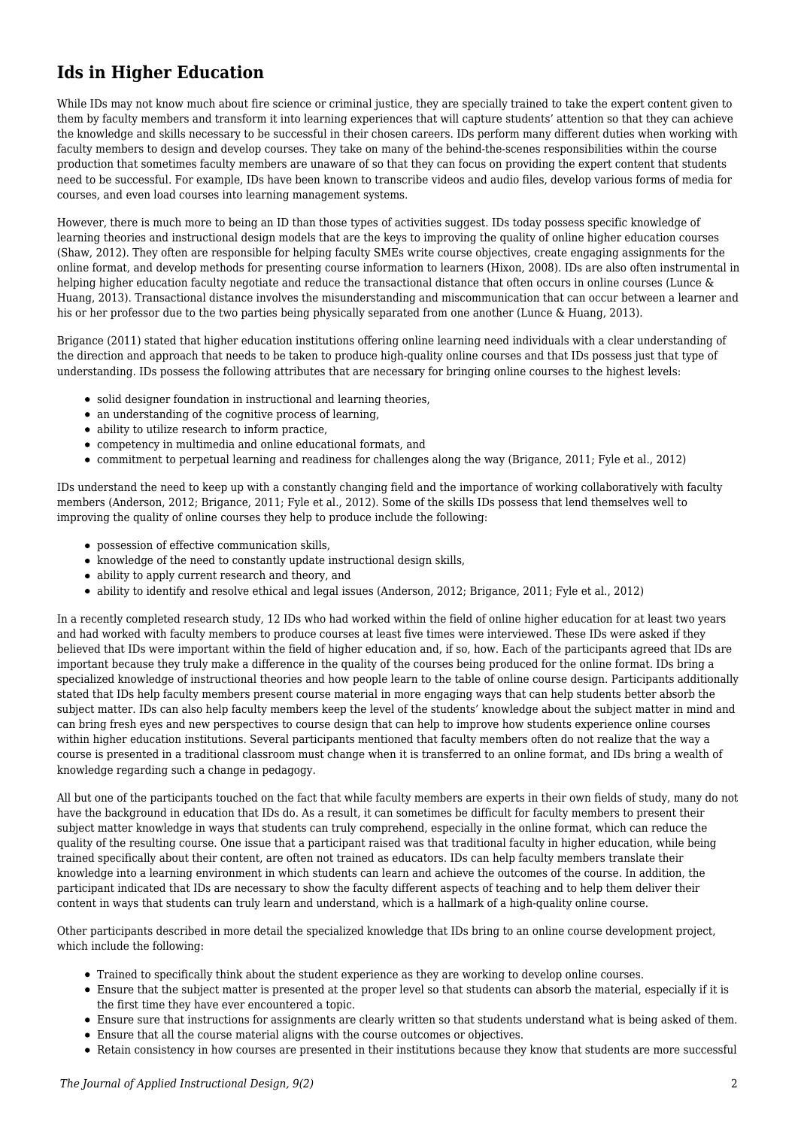# **Ids in Higher Education**

While IDs may not know much about fire science or criminal justice, they are specially trained to take the expert content given to them by faculty members and transform it into learning experiences that will capture students' attention so that they can achieve the knowledge and skills necessary to be successful in their chosen careers. IDs perform many different duties when working with faculty members to design and develop courses. They take on many of the behind-the-scenes responsibilities within the course production that sometimes faculty members are unaware of so that they can focus on providing the expert content that students need to be successful. For example, IDs have been known to transcribe videos and audio files, develop various forms of media for courses, and even load courses into learning management systems.

However, there is much more to being an ID than those types of activities suggest. IDs today possess specific knowledge of learning theories and instructional design models that are the keys to improving the quality of online higher education courses (Shaw, 2012). They often are responsible for helping faculty SMEs write course objectives, create engaging assignments for the online format, and develop methods for presenting course information to learners (Hixon, 2008). IDs are also often instrumental in helping higher education faculty negotiate and reduce the transactional distance that often occurs in online courses (Lunce & Huang, 2013). Transactional distance involves the misunderstanding and miscommunication that can occur between a learner and his or her professor due to the two parties being physically separated from one another (Lunce & Huang, 2013).

Brigance (2011) stated that higher education institutions offering online learning need individuals with a clear understanding of the direction and approach that needs to be taken to produce high-quality online courses and that IDs possess just that type of understanding. IDs possess the following attributes that are necessary for bringing online courses to the highest levels:

- solid designer foundation in instructional and learning theories,
- an understanding of the cognitive process of learning,
- ability to utilize research to inform practice,
- competency in multimedia and online educational formats, and
- commitment to perpetual learning and readiness for challenges along the way (Brigance, 2011; Fyle et al., 2012)

IDs understand the need to keep up with a constantly changing field and the importance of working collaboratively with faculty members (Anderson, 2012; Brigance, 2011; Fyle et al., 2012). Some of the skills IDs possess that lend themselves well to improving the quality of online courses they help to produce include the following:

- possession of effective communication skills,
- knowledge of the need to constantly update instructional design skills,
- ability to apply current research and theory, and
- ability to identify and resolve ethical and legal issues (Anderson, 2012; Brigance, 2011; Fyle et al., 2012)

In a recently completed research study, 12 IDs who had worked within the field of online higher education for at least two years and had worked with faculty members to produce courses at least five times were interviewed. These IDs were asked if they believed that IDs were important within the field of higher education and, if so, how. Each of the participants agreed that IDs are important because they truly make a difference in the quality of the courses being produced for the online format. IDs bring a specialized knowledge of instructional theories and how people learn to the table of online course design. Participants additionally stated that IDs help faculty members present course material in more engaging ways that can help students better absorb the subject matter. IDs can also help faculty members keep the level of the students' knowledge about the subject matter in mind and can bring fresh eyes and new perspectives to course design that can help to improve how students experience online courses within higher education institutions. Several participants mentioned that faculty members often do not realize that the way a course is presented in a traditional classroom must change when it is transferred to an online format, and IDs bring a wealth of knowledge regarding such a change in pedagogy.

All but one of the participants touched on the fact that while faculty members are experts in their own fields of study, many do not have the background in education that IDs do. As a result, it can sometimes be difficult for faculty members to present their subject matter knowledge in ways that students can truly comprehend, especially in the online format, which can reduce the quality of the resulting course. One issue that a participant raised was that traditional faculty in higher education, while being trained specifically about their content, are often not trained as educators. IDs can help faculty members translate their knowledge into a learning environment in which students can learn and achieve the outcomes of the course. In addition, the participant indicated that IDs are necessary to show the faculty different aspects of teaching and to help them deliver their content in ways that students can truly learn and understand, which is a hallmark of a high-quality online course.

Other participants described in more detail the specialized knowledge that IDs bring to an online course development project, which include the following:

- Trained to specifically think about the student experience as they are working to develop online courses.
- Ensure that the subject matter is presented at the proper level so that students can absorb the material, especially if it is the first time they have ever encountered a topic.
- Ensure sure that instructions for assignments are clearly written so that students understand what is being asked of them.
- Ensure that all the course material aligns with the course outcomes or objectives.
- Retain consistency in how courses are presented in their institutions because they know that students are more successful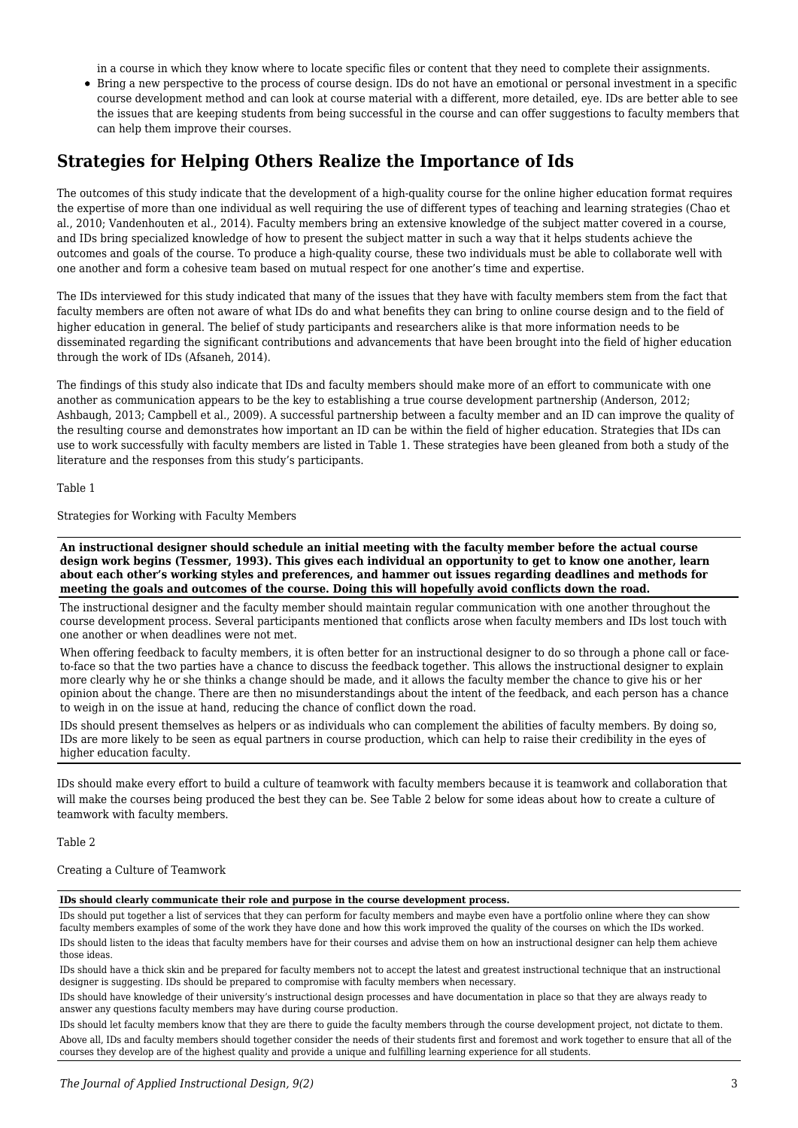in a course in which they know where to locate specific files or content that they need to complete their assignments.

Bring a new perspective to the process of course design. IDs do not have an emotional or personal investment in a specific course development method and can look at course material with a different, more detailed, eye. IDs are better able to see the issues that are keeping students from being successful in the course and can offer suggestions to faculty members that can help them improve their courses.

### **Strategies for Helping Others Realize the Importance of Ids**

The outcomes of this study indicate that the development of a high-quality course for the online higher education format requires the expertise of more than one individual as well requiring the use of different types of teaching and learning strategies (Chao et al., 2010; Vandenhouten et al., 2014). Faculty members bring an extensive knowledge of the subject matter covered in a course, and IDs bring specialized knowledge of how to present the subject matter in such a way that it helps students achieve the outcomes and goals of the course. To produce a high-quality course, these two individuals must be able to collaborate well with one another and form a cohesive team based on mutual respect for one another's time and expertise.

The IDs interviewed for this study indicated that many of the issues that they have with faculty members stem from the fact that faculty members are often not aware of what IDs do and what benefits they can bring to online course design and to the field of higher education in general. The belief of study participants and researchers alike is that more information needs to be disseminated regarding the significant contributions and advancements that have been brought into the field of higher education through the work of IDs (Afsaneh, 2014).

The findings of this study also indicate that IDs and faculty members should make more of an effort to communicate with one another as communication appears to be the key to establishing a true course development partnership (Anderson, 2012; Ashbaugh, 2013; Campbell et al., 2009). A successful partnership between a faculty member and an ID can improve the quality of the resulting course and demonstrates how important an ID can be within the field of higher education. Strategies that IDs can use to work successfully with faculty members are listed in Table 1. These strategies have been gleaned from both a study of the literature and the responses from this study's participants.

Table 1

Strategies for Working with Faculty Members

**An instructional designer should schedule an initial meeting with the faculty member before the actual course design work begins (Tessmer, 1993). This gives each individual an opportunity to get to know one another, learn about each other's working styles and preferences, and hammer out issues regarding deadlines and methods for meeting the goals and outcomes of the course. Doing this will hopefully avoid conflicts down the road.**

The instructional designer and the faculty member should maintain regular communication with one another throughout the course development process. Several participants mentioned that conflicts arose when faculty members and IDs lost touch with one another or when deadlines were not met.

When offering feedback to faculty members, it is often better for an instructional designer to do so through a phone call or faceto-face so that the two parties have a chance to discuss the feedback together. This allows the instructional designer to explain more clearly why he or she thinks a change should be made, and it allows the faculty member the chance to give his or her opinion about the change. There are then no misunderstandings about the intent of the feedback, and each person has a chance to weigh in on the issue at hand, reducing the chance of conflict down the road.

IDs should present themselves as helpers or as individuals who can complement the abilities of faculty members. By doing so, IDs are more likely to be seen as equal partners in course production, which can help to raise their credibility in the eyes of higher education faculty.

IDs should make every effort to build a culture of teamwork with faculty members because it is teamwork and collaboration that will make the courses being produced the best they can be. See Table 2 below for some ideas about how to create a culture of teamwork with faculty members.

Table 2

#### Creating a Culture of Teamwork

#### **IDs should clearly communicate their role and purpose in the course development process.**

IDs should put together a list of services that they can perform for faculty members and maybe even have a portfolio online where they can show faculty members examples of some of the work they have done and how this work improved the quality of the courses on which the IDs worked. IDs should listen to the ideas that faculty members have for their courses and advise them on how an instructional designer can help them achieve those ideas.

IDs should have a thick skin and be prepared for faculty members not to accept the latest and greatest instructional technique that an instructional designer is suggesting. IDs should be prepared to compromise with faculty members when necessary.

IDs should have knowledge of their university's instructional design processes and have documentation in place so that they are always ready to answer any questions faculty members may have during course production.

IDs should let faculty members know that they are there to guide the faculty members through the course development project, not dictate to them. Above all, IDs and faculty members should together consider the needs of their students first and foremost and work together to ensure that all of the courses they develop are of the highest quality and provide a unique and fulfilling learning experience for all students.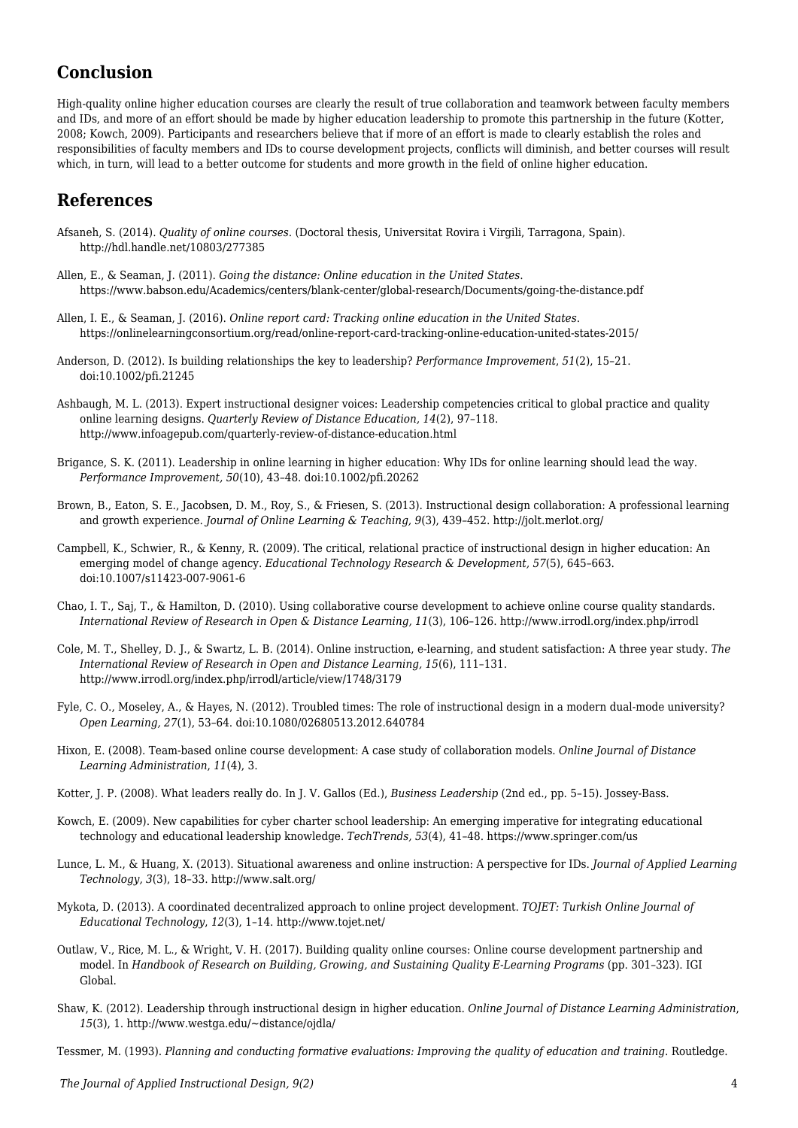### **Conclusion**

High-quality online higher education courses are clearly the result of true collaboration and teamwork between faculty members and IDs, and more of an effort should be made by higher education leadership to promote this partnership in the future (Kotter, 2008; Kowch, 2009). Participants and researchers believe that if more of an effort is made to clearly establish the roles and responsibilities of faculty members and IDs to course development projects, conflicts will diminish, and better courses will result which, in turn, will lead to a better outcome for students and more growth in the field of online higher education.

### **References**

- Afsaneh, S. (2014). *Quality of online courses*. (Doctoral thesis, Universitat Rovira i Virgili, Tarragona, Spain). http://hdl.handle.net/10803/277385
- Allen, E., & Seaman, J. (2011). *Going the distance: Online education in the United States*. https://www.babson.edu/Academics/centers/blank-center/global-research/Documents/going-the-distance.pdf
- Allen, I. E., & Seaman, J. (2016). *Online report card: Tracking online education in the United States*. https://onlinelearningconsortium.org/read/online-report-card-tracking-online-education-united-states-2015/
- Anderson, D. (2012). Is building relationships the key to leadership? *Performance Improvement*, *51*(2), 15–21. doi:10.1002/pfi.21245
- Ashbaugh, M. L. (2013). Expert instructional designer voices: Leadership competencies critical to global practice and quality online learning designs. *Quarterly Review of Distance Education, 14*(2), 97–118. http://www.infoagepub.com/quarterly-review-of-distance-education.html
- Brigance, S. K. (2011). Leadership in online learning in higher education: Why IDs for online learning should lead the way. *Performance Improvement, 50*(10), 43–48. doi:10.1002/pfi.20262
- Brown, B., Eaton, S. E., Jacobsen, D. M., Roy, S., & Friesen, S. (2013). Instructional design collaboration: A professional learning and growth experience. *Journal of Online Learning & Teaching, 9*(3), 439–452. http://jolt.merlot.org/
- Campbell, K., Schwier, R., & Kenny, R. (2009). The critical, relational practice of instructional design in higher education: An emerging model of change agency. *Educational Technology Research & Development, 57*(5), 645–663. doi:10.1007/s11423-007-9061-6
- Chao, I. T., Saj, T., & Hamilton, D. (2010). Using collaborative course development to achieve online course quality standards. *International Review of Research in Open & Distance Learning, 11*(3), 106–126. http://www.irrodl.org/index.php/irrodl
- Cole, M. T., Shelley, D. J., & Swartz, L. B. (2014). Online instruction, e-learning, and student satisfaction: A three year study. *The International Review of Research in Open and Distance Learning, 15*(6), 111–131. http://www.irrodl.org/index.php/irrodl/article/view/1748/3179
- Fyle, C. O., Moseley, A., & Hayes, N. (2012). Troubled times: The role of instructional design in a modern dual-mode university? *Open Learning, 27*(1), 53–64. doi:10.1080/02680513.2012.640784
- Hixon, E. (2008). Team-based online course development: A case study of collaboration models. *Online Journal of Distance Learning Administration*, *11*(4), 3.
- Kotter, J. P. (2008). What leaders really do. In J. V. Gallos (Ed.), *Business Leadership* (2nd ed., pp. 5–15). Jossey-Bass.
- Kowch, E. (2009). New capabilities for cyber charter school leadership: An emerging imperative for integrating educational technology and educational leadership knowledge. *TechTrends, 53*(4), 41–48. https://www.springer.com/us
- Lunce, L. M., & Huang, X. (2013). Situational awareness and online instruction: A perspective for IDs. *Journal of Applied Learning Technology, 3*(3), 18–33. http://www.salt.org/
- Mykota, D. (2013). A coordinated decentralized approach to online project development. *TOJET: Turkish Online Journal of Educational Technology*, *12*(3), 1–14. http://www.tojet.net/
- Outlaw, V., Rice, M. L., & Wright, V. H. (2017). Building quality online courses: Online course development partnership and model. In *Handbook of Research on Building, Growing, and Sustaining Quality E-Learning Programs* (pp. 301–323). IGI Global.
- Shaw, K. (2012). Leadership through instructional design in higher education. *Online Journal of Distance Learning Administration*, *15*(3), 1. http://www.westga.edu/~distance/ojdla/

Tessmer, M. (1993). *Planning and conducting formative evaluations: Improving the quality of education and training*. Routledge.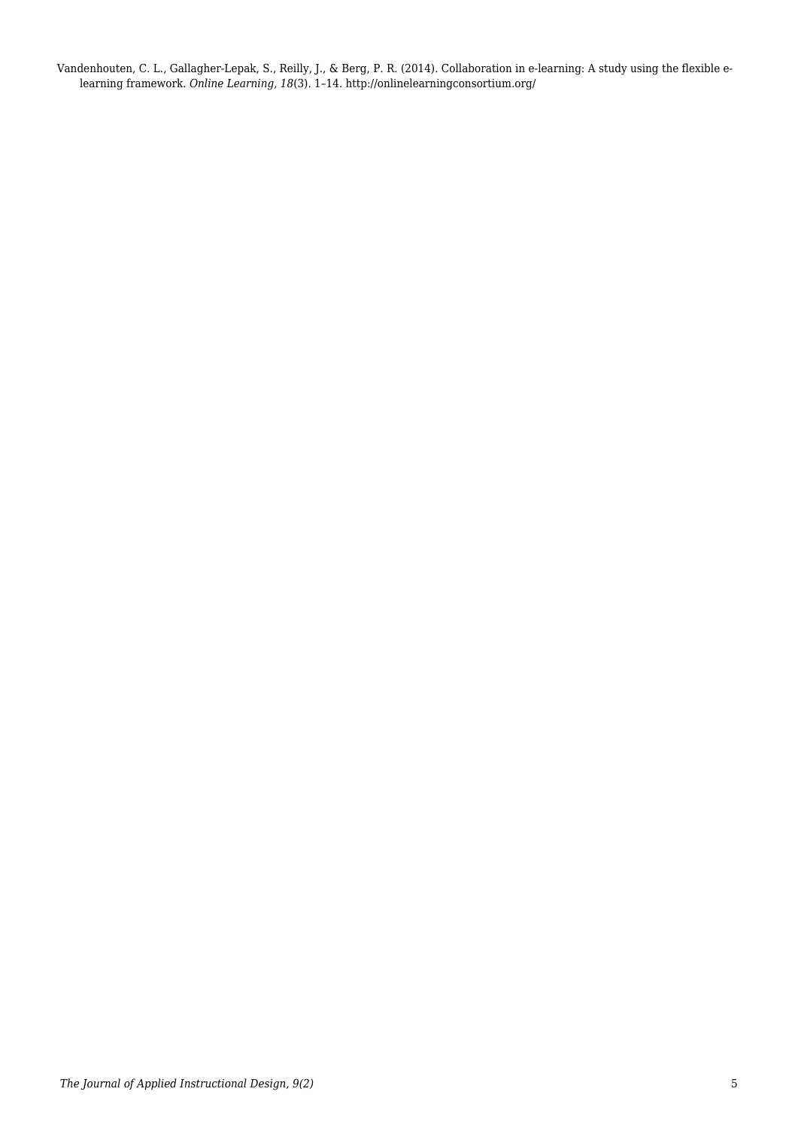Vandenhouten, C. L., Gallagher-Lepak, S., Reilly, J., & Berg, P. R. (2014). Collaboration in e-learning: A study using the flexible elearning framework. *Online Learning*, *18*(3). 1–14. http://onlinelearningconsortium.org/